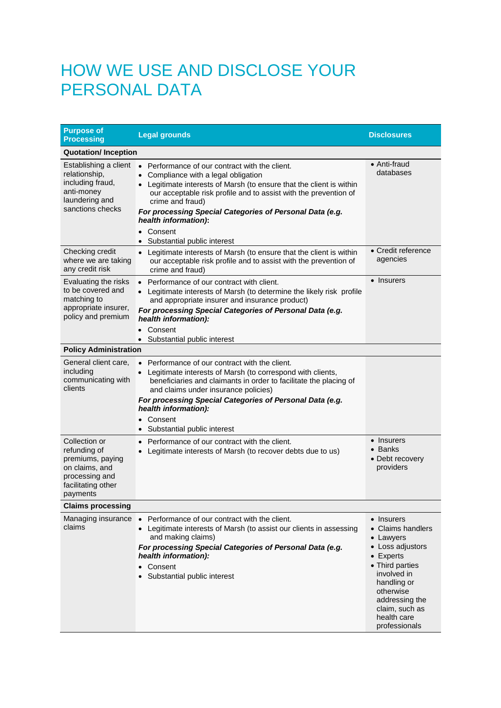## HOW WE USE AND DISCLOSE YOUR PERSONAL DATA

| <b>Purpose of</b><br><b>Processing</b>                                                                                  | <b>Legal grounds</b>                                                                                                                                                                                                                                                                                                                                                                                           | <b>Disclosures</b>                                                                                                                                                                                                      |  |
|-------------------------------------------------------------------------------------------------------------------------|----------------------------------------------------------------------------------------------------------------------------------------------------------------------------------------------------------------------------------------------------------------------------------------------------------------------------------------------------------------------------------------------------------------|-------------------------------------------------------------------------------------------------------------------------------------------------------------------------------------------------------------------------|--|
| <b>Quotation/Inception</b>                                                                                              |                                                                                                                                                                                                                                                                                                                                                                                                                |                                                                                                                                                                                                                         |  |
| Establishing a client<br>relationship,<br>including fraud,<br>anti-money<br>laundering and<br>sanctions checks          | • Performance of our contract with the client.<br>Compliance with a legal obligation<br>$\bullet$<br>• Legitimate interests of Marsh (to ensure that the client is within<br>our acceptable risk profile and to assist with the prevention of<br>crime and fraud)<br>For processing Special Categories of Personal Data (e.g.<br>health information):<br>Consent<br>$\bullet$<br>• Substantial public interest | $\bullet$ Anti-fraud<br>databases                                                                                                                                                                                       |  |
| Checking credit<br>where we are taking<br>any credit risk                                                               | • Legitimate interests of Marsh (to ensure that the client is within<br>our acceptable risk profile and to assist with the prevention of<br>crime and fraud)                                                                                                                                                                                                                                                   | • Credit reference<br>agencies                                                                                                                                                                                          |  |
| Evaluating the risks<br>to be covered and<br>matching to<br>appropriate insurer,<br>policy and premium                  | • Performance of our contract with client.<br>• Legitimate interests of Marsh (to determine the likely risk profile<br>and appropriate insurer and insurance product)<br>For processing Special Categories of Personal Data (e.g.<br>health information):<br>Consent<br>Substantial public interest                                                                                                            | • Insurers                                                                                                                                                                                                              |  |
| <b>Policy Administration</b>                                                                                            |                                                                                                                                                                                                                                                                                                                                                                                                                |                                                                                                                                                                                                                         |  |
| General client care,<br>including<br>communicating with<br>clients                                                      | • Performance of our contract with the client.<br>• Legitimate interests of Marsh (to correspond with clients,<br>beneficiaries and claimants in order to facilitate the placing of<br>and claims under insurance policies)<br>For processing Special Categories of Personal Data (e.g.<br>health information):<br>Consent<br>$\bullet$<br>Substantial public interest<br>٠                                    |                                                                                                                                                                                                                         |  |
| Collection or<br>refunding of<br>premiums, paying<br>on claims, and<br>processing and<br>facilitating other<br>payments | Performance of our contract with the client.<br>Legitimate interests of Marsh (to recover debts due to us)                                                                                                                                                                                                                                                                                                     | • Insurers<br>$\bullet$ Banks<br>• Debt recovery<br>providers                                                                                                                                                           |  |
| <b>Claims processing</b>                                                                                                |                                                                                                                                                                                                                                                                                                                                                                                                                |                                                                                                                                                                                                                         |  |
| Managing insurance<br>claims                                                                                            | Performance of our contract with the client.<br>$\bullet$<br>• Legitimate interests of Marsh (to assist our clients in assessing<br>and making claims)<br>For processing Special Categories of Personal Data (e.g.<br>health information):<br>Consent<br>Substantial public interest                                                                                                                           | • Insurers<br>• Claims handlers<br>• Lawyers<br>• Loss adjustors<br>$\bullet$ Experts<br>• Third parties<br>involved in<br>handling or<br>otherwise<br>addressing the<br>claim, such as<br>health care<br>professionals |  |